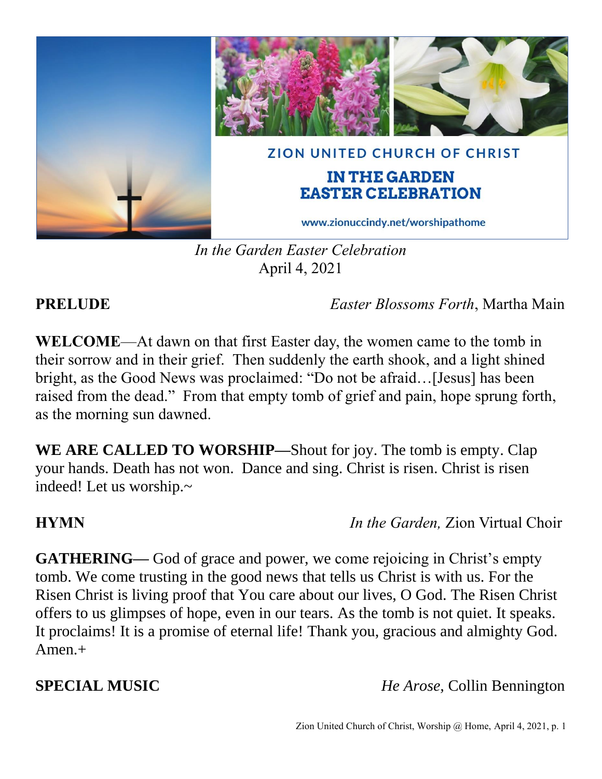

*In the Garden Easter Celebration* April 4, 2021

**PRELUDE** *Easter Blossoms Forth*, Martha Main

**WELCOME**—At dawn on that first Easter day, the women came to the tomb in their sorrow and in their grief. Then suddenly the earth shook, and a light shined bright, as the Good News was proclaimed: "Do not be afraid…[Jesus] has been raised from the dead." From that empty tomb of grief and pain, hope sprung forth, as the morning sun dawned.

**WE ARE CALLED TO WORSHIP—**Shout for joy. The tomb is empty. Clap your hands. Death has not won. Dance and sing. Christ is risen. Christ is risen indeed! Let us worship.~

**HYMN** *In the Garden,* Zion Virtual Choir

**GATHERING—** God of grace and power, we come rejoicing in Christ's empty tomb. We come trusting in the good news that tells us Christ is with us. For the Risen Christ is living proof that You care about our lives, O God. The Risen Christ offers to us glimpses of hope, even in our tears. As the tomb is not quiet. It speaks. It proclaims! It is a promise of eternal life! Thank you, gracious and almighty God. Amen.+

**SPECIAL MUSIC** *He Arose,* Collin Bennington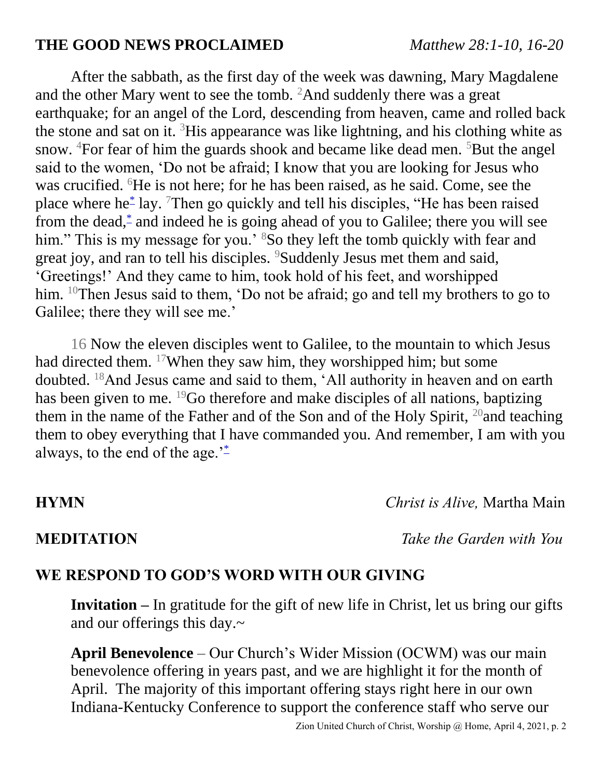### **THE GOOD NEWS PROCLAIMED** *Matthew 28:1-10, 16-20*

After the sabbath, as the first day of the week was dawning, Mary Magdalene and the other Mary went to see the tomb. <sup>2</sup>And suddenly there was a great earthquake; for an angel of the Lord, descending from heaven, came and rolled back the stone and sat on it.  ${}^{3}$ His appearance was like lightning, and his clothing white as snow. <sup>4</sup>For fear of him the guards shook and became like dead men. <sup>5</sup>But the angel said to the women, 'Do not be afraid; I know that you are looking for Jesus who was crucified. <sup>6</sup>He is not here; for he has been raised, as he said. Come, see the place where he[\\*](javascript:void(0);) lay. <sup>7</sup>Then go quickly and tell his disciples, "He has been raised from the dead,<sup>[\\*](javascript:void(0);)</sup> and indeed he is going ahead of you to Galilee; there you will see him." This is my message for you.' <sup>8</sup>So they left the tomb quickly with fear and great joy, and ran to tell his disciples. <sup>9</sup>Suddenly Jesus met them and said, 'Greetings!' And they came to him, took hold of his feet, and worshipped him. <sup>10</sup>Then Jesus said to them, 'Do not be afraid; go and tell my brothers to go to Galilee; there they will see me.'

16 Now the eleven disciples went to Galilee, to the mountain to which Jesus had directed them. <sup>17</sup>When they saw him, they worshipped him; but some doubted. <sup>18</sup>And Jesus came and said to them, 'All authority in heaven and on earth has been given to me. <sup>19</sup>Go therefore and make disciples of all nations, baptizing them in the name of the Father and of the Son and of the Holy Spirit,  $^{20}$  and teaching them to obey everything that I have commanded you. And remember, I am with you always, to the end of the age. $i^*$  $i^*$ 

**HYMN** *Christ is Alive,* Martha Main

**MEDITATION** *Take the Garden with You*

### **WE RESPOND TO GOD'S WORD WITH OUR GIVING**

**Invitation –** In gratitude for the gift of new life in Christ, let us bring our gifts and our offerings this day.~

**April Benevolence** – Our Church's Wider Mission (OCWM) was our main benevolence offering in years past, and we are highlight it for the month of April. The majority of this important offering stays right here in our own Indiana-Kentucky Conference to support the conference staff who serve our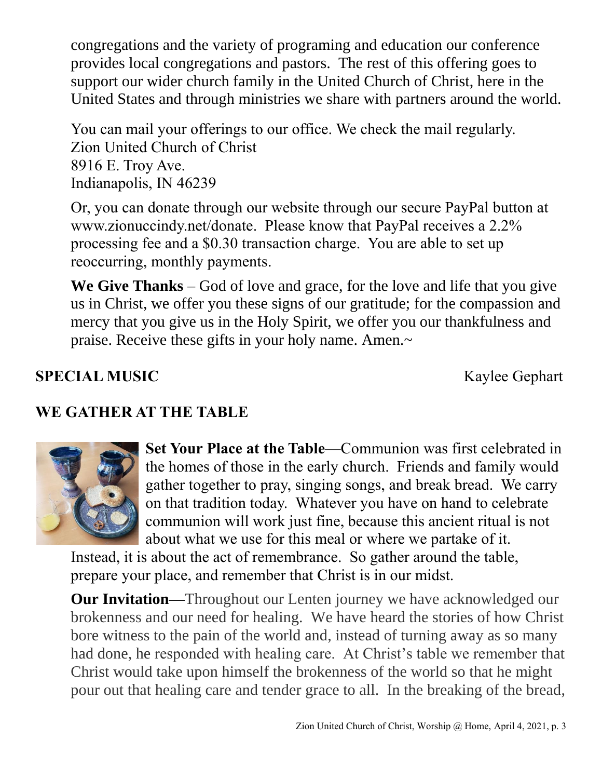congregations and the variety of programing and education our conference provides local congregations and pastors. The rest of this offering goes to support our wider church family in the United Church of Christ, here in the United States and through ministries we share with partners around the world.

You can mail your offerings to our office. We check the mail regularly. Zion United Church of Christ 8916 E. Troy Ave. Indianapolis, IN 46239

Or, you can donate through our website through our secure PayPal button at www.zionuccindy.net/donate. Please know that PayPal receives a 2.2% processing fee and a \$0.30 transaction charge. You are able to set up reoccurring, monthly payments.

**We Give Thanks** – God of love and grace, for the love and life that you give us in Christ, we offer you these signs of our gratitude; for the compassion and mercy that you give us in the Holy Spirit, we offer you our thankfulness and praise. Receive these gifts in your holy name. Amen.~

# **SPECIAL MUSIC** Kaylee Gephart

# **WE GATHER AT THE TABLE**



**Set Your Place at the Table**—Communion was first celebrated in the homes of those in the early church. Friends and family would gather together to pray, singing songs, and break bread. We carry on that tradition today. Whatever you have on hand to celebrate communion will work just fine, because this ancient ritual is not about what we use for this meal or where we partake of it.

Instead, it is about the act of remembrance. So gather around the table, prepare your place, and remember that Christ is in our midst.

**Our Invitation—**Throughout our Lenten journey we have acknowledged our brokenness and our need for healing. We have heard the stories of how Christ bore witness to the pain of the world and, instead of turning away as so many had done, he responded with healing care. At Christ's table we remember that Christ would take upon himself the brokenness of the world so that he might pour out that healing care and tender grace to all. In the breaking of the bread,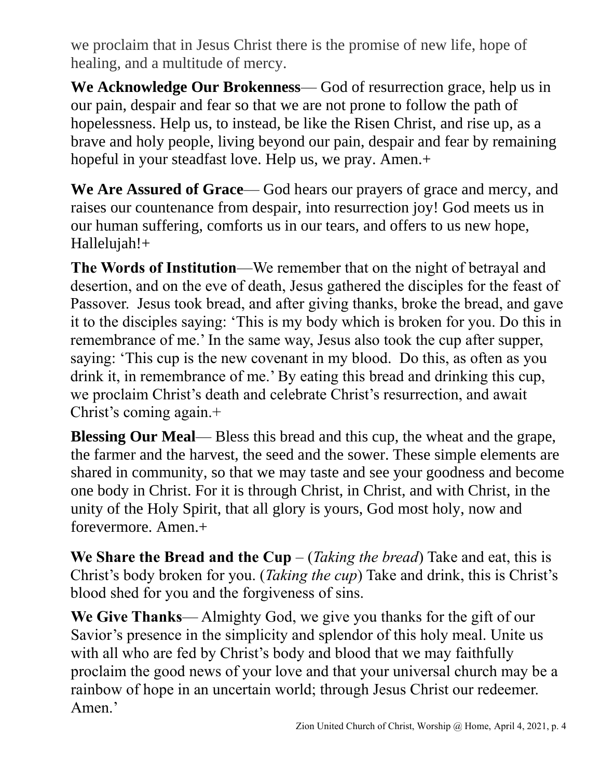we proclaim that in Jesus Christ there is the promise of new life, hope of healing, and a multitude of mercy.

**We Acknowledge Our Brokenness**— God of resurrection grace, help us in our pain, despair and fear so that we are not prone to follow the path of hopelessness. Help us, to instead, be like the Risen Christ, and rise up, as a brave and holy people, living beyond our pain, despair and fear by remaining hopeful in your steadfast love. Help us, we pray. Amen.+

**We Are Assured of Grace**— God hears our prayers of grace and mercy, and raises our countenance from despair, into resurrection joy! God meets us in our human suffering, comforts us in our tears, and offers to us new hope, Hallelujah!+

**The Words of Institution**—We remember that on the night of betrayal and desertion, and on the eve of death, Jesus gathered the disciples for the feast of Passover. Jesus took bread, and after giving thanks, broke the bread, and gave it to the disciples saying: 'This is my body which is broken for you. Do this in remembrance of me.' In the same way, Jesus also took the cup after supper, saying: 'This cup is the new covenant in my blood. Do this, as often as you drink it, in remembrance of me.' By eating this bread and drinking this cup, we proclaim Christ's death and celebrate Christ's resurrection, and await Christ's coming again.+

**Blessing Our Meal**— Bless this bread and this cup, the wheat and the grape, the farmer and the harvest, the seed and the sower. These simple elements are shared in community, so that we may taste and see your goodness and become one body in Christ. For it is through Christ, in Christ, and with Christ, in the unity of the Holy Spirit, that all glory is yours, God most holy, now and forevermore. Amen.+

**We Share the Bread and the Cup** – (*Taking the bread*) Take and eat, this is Christ's body broken for you. (*Taking the cup*) Take and drink, this is Christ's blood shed for you and the forgiveness of sins.

**We Give Thanks**— Almighty God, we give you thanks for the gift of our Savior's presence in the simplicity and splendor of this holy meal. Unite us with all who are fed by Christ's body and blood that we may faithfully proclaim the good news of your love and that your universal church may be a rainbow of hope in an uncertain world; through Jesus Christ our redeemer. Amen.'